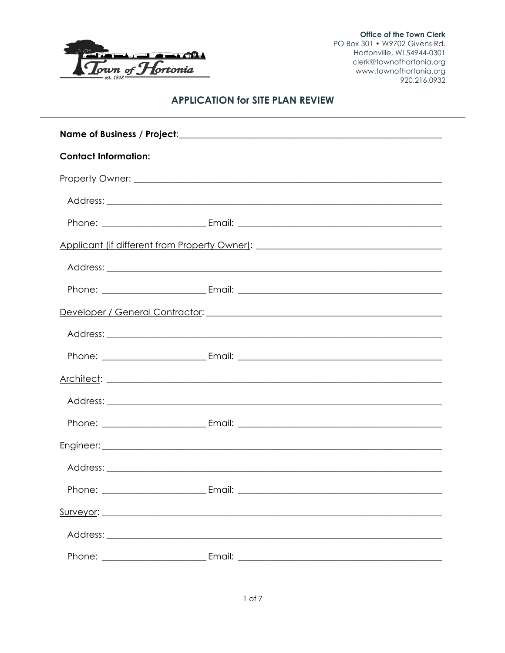

Office of the Town Clerk PO Box 301 • W9702 Givens Rd. Hortonville, WI 54944-0301 clerk@townofhortonia.org www.townofhortonia.org 920.216.0932

# **APPLICATION for SITE PLAN REVIEW**

| <b>Contact Information:</b> |                                                                                   |  |
|-----------------------------|-----------------------------------------------------------------------------------|--|
|                             |                                                                                   |  |
|                             |                                                                                   |  |
|                             |                                                                                   |  |
|                             | Applicant (if different from Property Owner): ___________________________________ |  |
|                             |                                                                                   |  |
|                             |                                                                                   |  |
|                             |                                                                                   |  |
|                             |                                                                                   |  |
|                             |                                                                                   |  |
|                             |                                                                                   |  |
|                             |                                                                                   |  |
|                             |                                                                                   |  |
|                             |                                                                                   |  |
|                             |                                                                                   |  |
|                             |                                                                                   |  |
|                             |                                                                                   |  |
|                             |                                                                                   |  |
| Phone:                      | Email:                                                                            |  |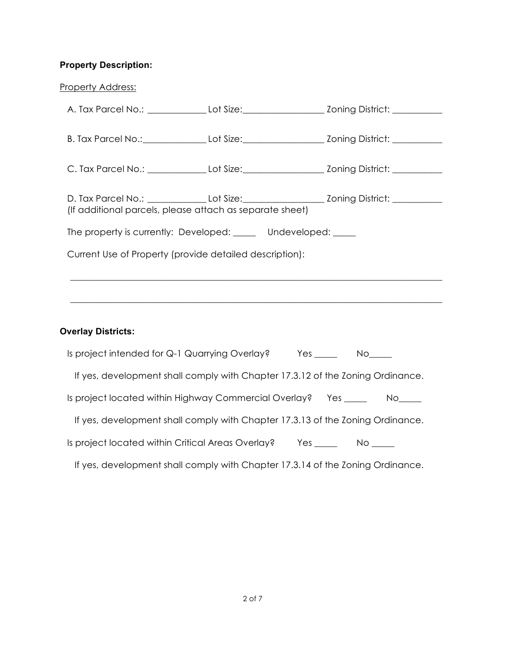### **Property Description:**

| <b>Property Address:</b>                                                                             |               |
|------------------------------------------------------------------------------------------------------|---------------|
| A. Tax Parcel No.: _______________Lot Size:___________________________Zoning District: _____________ |               |
| B. Tax Parcel No.: Lot Size: Lot Size: Zoning District: Latin 2011                                   |               |
|                                                                                                      |               |
|                                                                                                      |               |
| (If additional parcels, please attach as separate sheet)                                             |               |
| The property is currently: Developed: Undeveloped: ____                                              |               |
| Current Use of Property (provide detailed description):                                              |               |
|                                                                                                      |               |
|                                                                                                      |               |
|                                                                                                      |               |
| <b>Overlay Districts:</b>                                                                            |               |
| Is project intended for Q-1 Quarrying Overlay?                                                       | $Yes$ No $No$ |

If yes, development shall comply with Chapter 17.3.12 of the Zoning Ordinance.

Is project located within Highway Commercial Overlay? Yes \_\_\_\_\_ No\_\_\_\_**\_**

If yes, development shall comply with Chapter 17.3.13 of the Zoning Ordinance.

Is project located within Critical Areas Overlay? Yes \_\_\_\_\_ No \_\_\_\_

If yes, development shall comply with Chapter 17.3.14 of the Zoning Ordinance.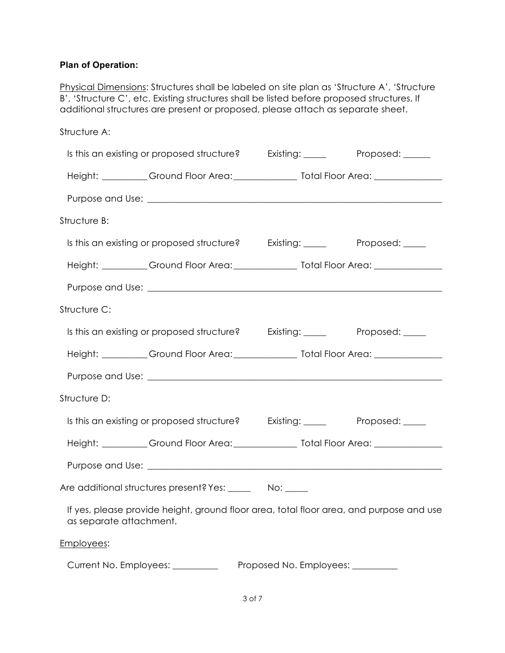# **Plan of Operation:**

Physical Dimensions: Structures shall be labeled on site plan as 'Structure A', 'Structure B', 'Structure C', etc. Existing structures shall be listed before proposed structures. If additional structures are present or proposed, please attach as separate sheet.

| Structure A:            |                                                                                          |                                   |  |
|-------------------------|------------------------------------------------------------------------------------------|-----------------------------------|--|
|                         | Is this an existing or proposed structure? Existing: _____ Proposed: ____                |                                   |  |
|                         |                                                                                          |                                   |  |
|                         |                                                                                          |                                   |  |
| Structure B:            |                                                                                          |                                   |  |
|                         | Is this an existing or proposed structure? Existing: Proposed: Demonstrational Existing: |                                   |  |
|                         |                                                                                          |                                   |  |
|                         |                                                                                          |                                   |  |
| Structure C:            |                                                                                          |                                   |  |
|                         | Is this an existing or proposed structure? Existing: Proposed: Proposed:                 |                                   |  |
|                         |                                                                                          |                                   |  |
|                         |                                                                                          |                                   |  |
| Structure D:            |                                                                                          |                                   |  |
|                         | Is this an existing or proposed structure? Existing: The Reprosed: The Proposed:         |                                   |  |
|                         |                                                                                          |                                   |  |
|                         |                                                                                          |                                   |  |
|                         | Are additional structures present? Yes: ______ No: ____                                  |                                   |  |
| as separate attachment. | If yes, please provide height, ground floor area, total floor area, and purpose and use  |                                   |  |
| Employees:              |                                                                                          |                                   |  |
|                         | Current No. Employees: _________                                                         | Proposed No. Employees: _________ |  |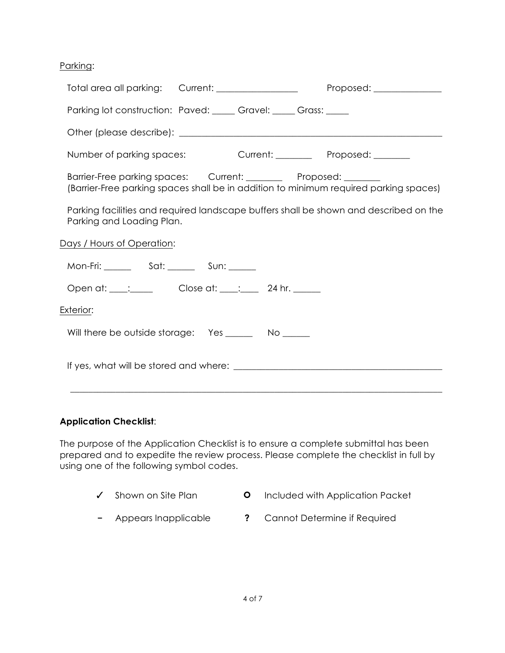Parking:

| Total area all parking: Current: _________________                                                                                                        | Proposed: ______________ |
|-----------------------------------------------------------------------------------------------------------------------------------------------------------|--------------------------|
| Parking lot construction: Paved: ____ Gravel: ____ Grass: ____                                                                                            |                          |
|                                                                                                                                                           |                          |
| Number of parking spaces: Current: Proposed: Current: Proposed:                                                                                           |                          |
| Barrier-Free parking spaces: Current: ________ Proposed: _______<br>(Barrier-Free parking spaces shall be in addition to minimum required parking spaces) |                          |
| Parking facilities and required landscape buffers shall be shown and described on the<br>Parking and Loading Plan.                                        |                          |
| Days / Hours of Operation:                                                                                                                                |                          |
|                                                                                                                                                           |                          |
| Open at: ____: Close at: ___: ___ 24 hr. ____                                                                                                             |                          |
| <u>Exterior:</u>                                                                                                                                          |                          |
| Will there be outside storage: Yes ________ No ______                                                                                                     |                          |
|                                                                                                                                                           |                          |

# **Application Checklist**:

The purpose of the Application Checklist is to ensure a complete submittal has been prepared and to expedite the review process. Please complete the checklist in full by using one of the following symbol codes.

- ✓ Shown on Site Plan **0** Included with Application Packet
- **−** Appears Inapplicable **?** Cannot Determine if Required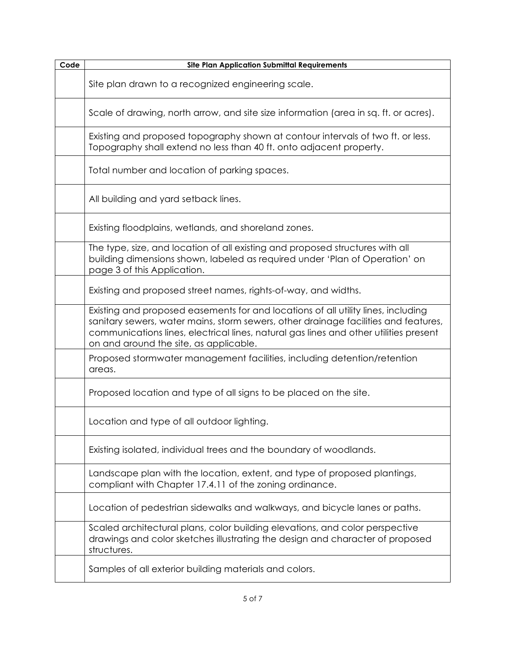| Code | <b>Site Plan Application Submittal Requirements</b>                                                                                                                                                                                                                                                         |
|------|-------------------------------------------------------------------------------------------------------------------------------------------------------------------------------------------------------------------------------------------------------------------------------------------------------------|
|      | Site plan drawn to a recognized engineering scale.                                                                                                                                                                                                                                                          |
|      | Scale of drawing, north arrow, and site size information (area in sq. ft. or acres).                                                                                                                                                                                                                        |
|      | Existing and proposed topography shown at contour intervals of two ft. or less.<br>Topography shall extend no less than 40 ft. onto adjacent property.                                                                                                                                                      |
|      | Total number and location of parking spaces.                                                                                                                                                                                                                                                                |
|      | All building and yard setback lines.                                                                                                                                                                                                                                                                        |
|      | Existing floodplains, wetlands, and shoreland zones.                                                                                                                                                                                                                                                        |
|      | The type, size, and location of all existing and proposed structures with all<br>building dimensions shown, labeled as required under 'Plan of Operation' on<br>page 3 of this Application.                                                                                                                 |
|      | Existing and proposed street names, rights-of-way, and widths.                                                                                                                                                                                                                                              |
|      | Existing and proposed easements for and locations of all utility lines, including<br>sanitary sewers, water mains, storm sewers, other drainage facilities and features,<br>communications lines, electrical lines, natural gas lines and other utilities present<br>on and around the site, as applicable. |
|      | Proposed stormwater management facilities, including detention/retention<br>areas.                                                                                                                                                                                                                          |
|      | Proposed location and type of all signs to be placed on the site.                                                                                                                                                                                                                                           |
|      | Location and type of all outdoor lighting.                                                                                                                                                                                                                                                                  |
|      | Existing isolated, individual trees and the boundary of woodlands.                                                                                                                                                                                                                                          |
|      | Landscape plan with the location, extent, and type of proposed plantings,<br>compliant with Chapter 17.4.11 of the zoning ordinance.                                                                                                                                                                        |
|      | Location of pedestrian sidewalks and walkways, and bicycle lanes or paths.                                                                                                                                                                                                                                  |
|      | Scaled architectural plans, color building elevations, and color perspective<br>drawings and color sketches illustrating the design and character of proposed<br>structures.                                                                                                                                |
|      | Samples of all exterior building materials and colors.                                                                                                                                                                                                                                                      |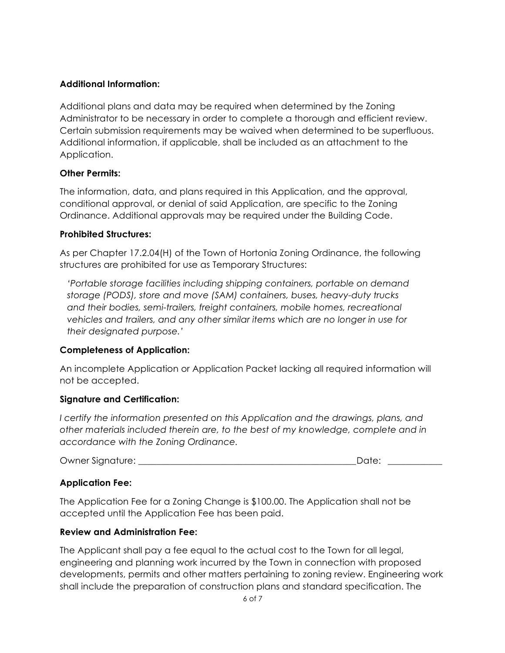# **Additional Information:**

Additional plans and data may be required when determined by the Zoning Administrator to be necessary in order to complete a thorough and efficient review. Certain submission requirements may be waived when determined to be superfluous. Additional information, if applicable, shall be included as an attachment to the Application.

#### **Other Permits:**

The information, data, and plans required in this Application, and the approval, conditional approval, or denial of said Application, are specific to the Zoning Ordinance. Additional approvals may be required under the Building Code.

#### **Prohibited Structures:**

As per Chapter 17.2.04(H) of the Town of Hortonia Zoning Ordinance, the following structures are prohibited for use as Temporary Structures:

*'Portable storage facilities including shipping containers, portable on demand storage (PODS), store and move (SAM) containers, buses, heavy-duty trucks and their bodies, semi-trailers, freight containers, mobile homes, recreational vehicles and trailers, and any other similar items which are no longer in use for their designated purpose.'*

# **Completeness of Application:**

An incomplete Application or Application Packet lacking all required information will not be accepted.

# **Signature and Certification:**

*I certify the information presented on this Application and the drawings, plans, and other materials included therein are, to the best of my knowledge, complete and in accordance with the Zoning Ordinance.*

Owner Signature: \_\_\_\_\_\_\_\_\_\_\_\_\_\_\_\_\_\_\_\_\_\_\_\_\_\_\_\_\_\_\_\_\_\_\_\_\_\_\_\_\_\_\_\_\_\_\_\_Date: *\_\_\_\_\_\_\_\_\_\_\_\_*

# **Application Fee:**

The Application Fee for a Zoning Change is \$100.00. The Application shall not be accepted until the Application Fee has been paid.

#### **Review and Administration Fee:**

The Applicant shall pay a fee equal to the actual cost to the Town for all legal, engineering and planning work incurred by the Town in connection with proposed developments, permits and other matters pertaining to zoning review. Engineering work shall include the preparation of construction plans and standard specification. The